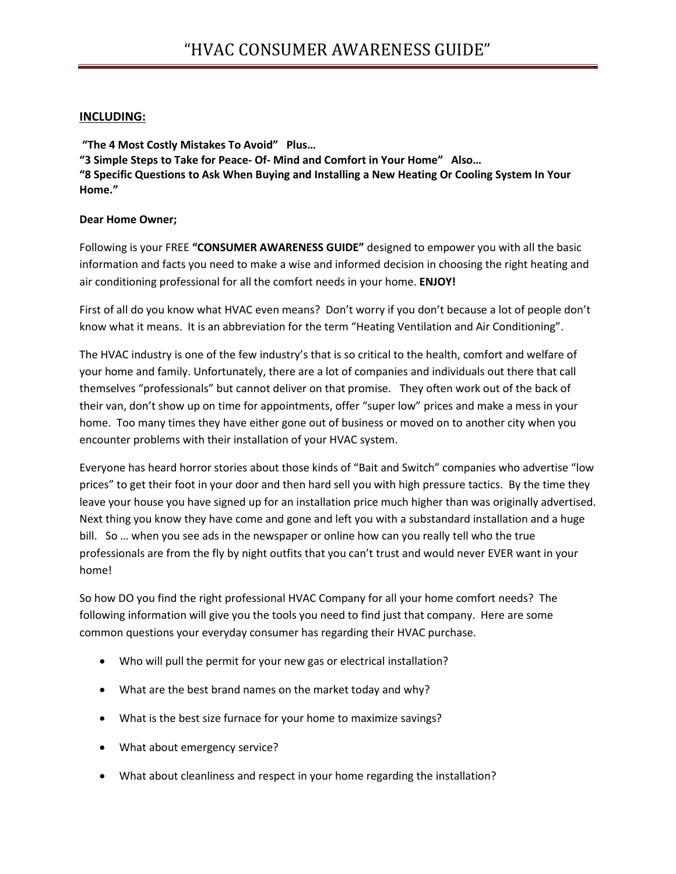#### **INCLUDING:**

**"The 4 Most Costly Mistakes To Avoid" Plus… "3 Simple Steps to Take for Peace- Of- Mind and Comfort in Your Home" Also… "8 Specific Questions to Ask When Buying and Installing a New Heating Or Cooling System In Your Home."**

#### **Dear Home Owner;**

Following is your FREE **"CONSUMER AWARENESS GUIDE"** designed to empower you with all the basic information and facts you need to make a wise and informed decision in choosing the right heating and air conditioning professional for all the comfort needs in your home. **ENJOY!**

First of all do you know what HVAC even means? Don't worry if you don't because a lot of people don't know what it means. It is an abbreviation for the term "Heating Ventilation and Air Conditioning".

The HVAC industry is one of the few industry's that is so critical to the health, comfort and welfare of your home and family. Unfortunately, there are a lot of companies and individuals out there that call themselves "professionals" but cannot deliver on that promise. They often work out of the back of their van, don't show up on time for appointments, offer "super low" prices and make a mess in your home. Too many times they have either gone out of business or moved on to another city when you encounter problems with their installation of your HVAC system.

Everyone has heard horror stories about those kinds of "Bait and Switch" companies who advertise "low prices" to get their foot in your door and then hard sell you with high pressure tactics. By the time they leave your house you have signed up for an installation price much higher than was originally advertised. Next thing you know they have come and gone and left you with a substandard installation and a huge bill. So … when you see ads in the newspaper or online how can you really tell who the true professionals are from the fly by night outfits that you can't trust and would never EVER want in your home!

So how DO you find the right professional HVAC Company for all your home comfort needs? The following information will give you the tools you need to find just that company. Here are some common questions your everyday consumer has regarding their HVAC purchase.

- Who will pull the permit for your new gas or electrical installation?
- What are the best brand names on the market today and why?
- What is the best size furnace for your home to maximize savings?
- What about emergency service?
- What about cleanliness and respect in your home regarding the installation?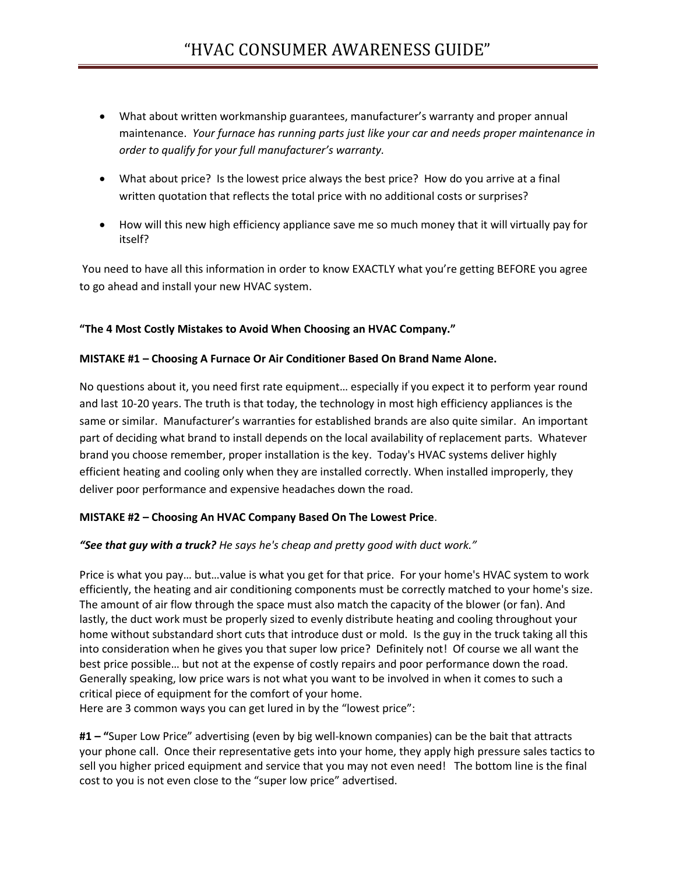- What about written workmanship guarantees, manufacturer's warranty and proper annual maintenance. *Your furnace has running parts just like your car and needs proper maintenance in order to qualify for your full manufacturer's warranty.*
- What about price? Is the lowest price always the best price? How do you arrive at a final written quotation that reflects the total price with no additional costs or surprises?
- How will this new high efficiency appliance save me so much money that it will virtually pay for itself?

You need to have all this information in order to know EXACTLY what you're getting BEFORE you agree to go ahead and install your new HVAC system.

## **"The 4 Most Costly Mistakes to Avoid When Choosing an HVAC Company."**

#### **MISTAKE #1 – Choosing A Furnace Or Air Conditioner Based On Brand Name Alone.**

No questions about it, you need first rate equipment… especially if you expect it to perform year round and last 10-20 years. The truth is that today, the technology in most high efficiency appliances is the same or similar. Manufacturer's warranties for established brands are also quite similar. An important part of deciding what brand to install depends on the local availability of replacement parts. Whatever brand you choose remember, proper installation is the key. Today's HVAC systems deliver highly efficient heating and cooling only when they are installed correctly. When installed improperly, they deliver poor performance and expensive headaches down the road.

## **MISTAKE #2 – Choosing An HVAC Company Based On The Lowest Price**.

## *"See that guy with a truck? He says he's cheap and pretty good with duct work."*

Price is what you pay… but…value is what you get for that price. For your home's HVAC system to work efficiently, the heating and air conditioning components must be correctly matched to your home's size. The amount of air flow through the space must also match the capacity of the blower (or fan). And lastly, the duct work must be properly sized to evenly distribute heating and cooling throughout your home without substandard short cuts that introduce dust or mold. Is the guy in the truck taking all this into consideration when he gives you that super low price? Definitely not! Of course we all want the best price possible… but not at the expense of costly repairs and poor performance down the road. Generally speaking, low price wars is not what you want to be involved in when it comes to such a critical piece of equipment for the comfort of your home.

Here are 3 common ways you can get lured in by the "lowest price":

**#1 – "**Super Low Price" advertising (even by big well-known companies) can be the bait that attracts your phone call. Once their representative gets into your home, they apply high pressure sales tactics to sell you higher priced equipment and service that you may not even need! The bottom line is the final cost to you is not even close to the "super low price" advertised.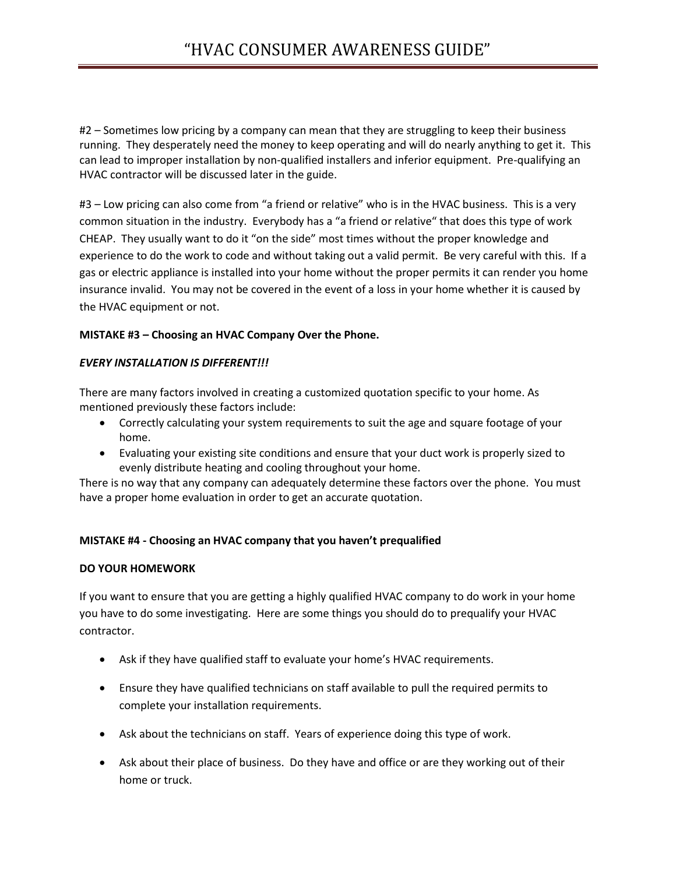#2 – Sometimes low pricing by a company can mean that they are struggling to keep their business running. They desperately need the money to keep operating and will do nearly anything to get it. This can lead to improper installation by non-qualified installers and inferior equipment. Pre-qualifying an HVAC contractor will be discussed later in the guide.

#3 – Low pricing can also come from "a friend or relative" who is in the HVAC business. This is a very common situation in the industry. Everybody has a "a friend or relative" that does this type of work CHEAP. They usually want to do it "on the side" most times without the proper knowledge and experience to do the work to code and without taking out a valid permit. Be very careful with this. If a gas or electric appliance is installed into your home without the proper permits it can render you home insurance invalid. You may not be covered in the event of a loss in your home whether it is caused by the HVAC equipment or not.

## **MISTAKE #3 – Choosing an HVAC Company Over the Phone.**

## *EVERY INSTALLATION IS DIFFERENT!!!*

There are many factors involved in creating a customized quotation specific to your home. As mentioned previously these factors include:

- Correctly calculating your system requirements to suit the age and square footage of your home.
- Evaluating your existing site conditions and ensure that your duct work is properly sized to evenly distribute heating and cooling throughout your home.

There is no way that any company can adequately determine these factors over the phone. You must have a proper home evaluation in order to get an accurate quotation.

## **MISTAKE #4 - Choosing an HVAC company that you haven't prequalified**

## **DO YOUR HOMEWORK**

If you want to ensure that you are getting a highly qualified HVAC company to do work in your home you have to do some investigating. Here are some things you should do to prequalify your HVAC contractor.

- Ask if they have qualified staff to evaluate your home's HVAC requirements.
- Ensure they have qualified technicians on staff available to pull the required permits to complete your installation requirements.
- Ask about the technicians on staff. Years of experience doing this type of work.
- Ask about their place of business. Do they have and office or are they working out of their home or truck.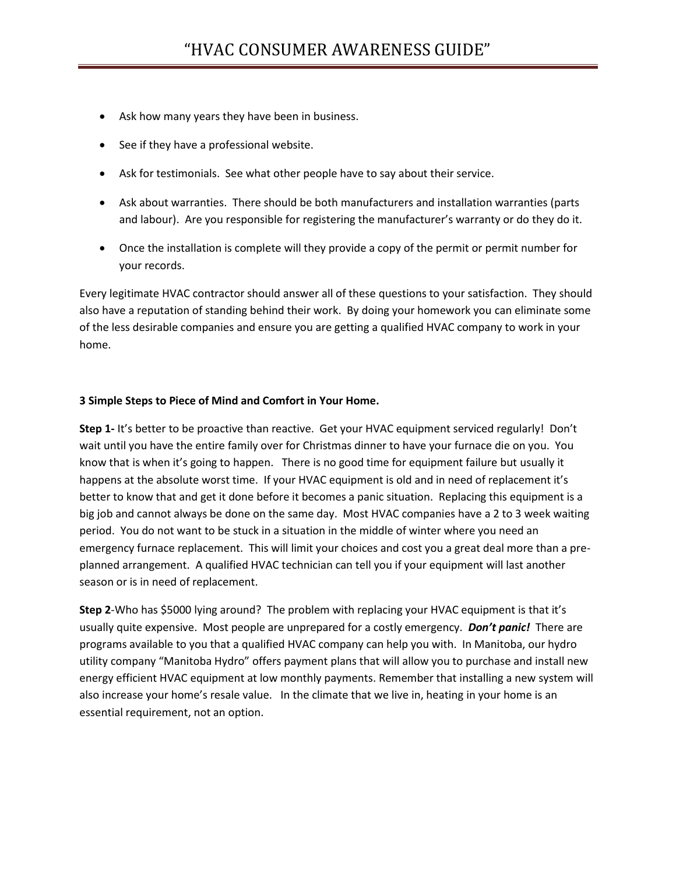- Ask how many years they have been in business.
- See if they have a professional website.
- Ask for testimonials. See what other people have to say about their service.
- Ask about warranties. There should be both manufacturers and installation warranties (parts and labour). Are you responsible for registering the manufacturer's warranty or do they do it.
- Once the installation is complete will they provide a copy of the permit or permit number for your records.

Every legitimate HVAC contractor should answer all of these questions to your satisfaction. They should also have a reputation of standing behind their work. By doing your homework you can eliminate some of the less desirable companies and ensure you are getting a qualified HVAC company to work in your home.

#### **3 Simple Steps to Piece of Mind and Comfort in Your Home.**

**Step 1-** It's better to be proactive than reactive. Get your HVAC equipment serviced regularly! Don't wait until you have the entire family over for Christmas dinner to have your furnace die on you. You know that is when it's going to happen. There is no good time for equipment failure but usually it happens at the absolute worst time. If your HVAC equipment is old and in need of replacement it's better to know that and get it done before it becomes a panic situation. Replacing this equipment is a big job and cannot always be done on the same day. Most HVAC companies have a 2 to 3 week waiting period. You do not want to be stuck in a situation in the middle of winter where you need an emergency furnace replacement. This will limit your choices and cost you a great deal more than a preplanned arrangement. A qualified HVAC technician can tell you if your equipment will last another season or is in need of replacement.

**Step 2**-Who has \$5000 lying around? The problem with replacing your HVAC equipment is that it's usually quite expensive. Most people are unprepared for a costly emergency. *Don't panic!* There are programs available to you that a qualified HVAC company can help you with. In Manitoba, our hydro utility company "Manitoba Hydro" offers payment plans that will allow you to purchase and install new energy efficient HVAC equipment at low monthly payments. Remember that installing a new system will also increase your home's resale value. In the climate that we live in, heating in your home is an essential requirement, not an option.